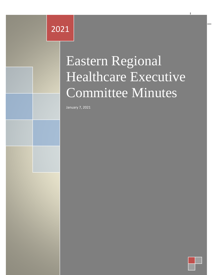# Eastern Regional Healthcare 2021

# Executive Committee Committee Committee Committee Committee Committee Committee Committee Committee Committee Minutes Eastern Regional Healthcare Executive Committee Minutes

Eastern Regional Healthcare Executive Committee Minutes 2021

January 7, 2021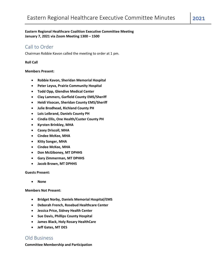## **Eastern Regional Healthcare Coalition Executive Committee Meeting January 7, 2021 via Zoom Meeting 1300 – 1500**

# Call to Order

Chairman Robbie Kavon called the meeting to order at 1 pm.

#### **Roll Call**

### **Members Present:**

- **Robbie Kavon, Sheridan Memorial Hospital**
- **Peter Leyva, Prairie Community Hospital**
- **Todd Opp, Glendive Medical Center**
- **Clay Lammers, Garfield County EMS/Sheriff**
- **Heidi Visocan, Sheridan County EMS/Sheriff**
- **Julie Brodhead, Richland County PH**
- **Lois Leibrand, Daniels County PH**
- **Cindia Ellis, One Health/Custer County PH**
- **Kyrsten Brinkley, MHA**
- **Casey Driscoll, MHA**
- **Cindee McKee, MHA**
- **Kitty Songer, MHA**
- **Cindee McKee, MHA**
- **Don McGiboney, MT DPHHS**
- **Gary Zimmerman, MT DPHHS**
- **Jacob Brown, MT DPHHS**

**Guests Present:**

• **None**

**Members Not Present:**

- **Bridget Norby, Daniels Memorial Hospital/EMS**
- **Deborah French, Rosebud Healthcare Center**
- **Jessica Price, Sidney Health Center**
- **Sue Davis, Phillips County Hospital**
- **James Black, Holy Rosary HealthCare**
- **Jeff Gates, MT DES**

## Old Business

**Committee Membership and Participation**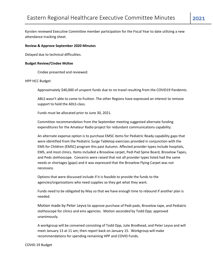Kyrsten reviewed Executive Committee member participation for the Fiscal Year to date utilizing a new attendance tracking sheet.

#### **Review & Approve September 2020 Minutes**

Delayed due to technical difficulties.

#### **Budget Review/Cindee McKee**

Cindee presented and reviewed:

#### HPP HCC Budget

Approximately \$40,000 of unspent funds due to no travel resulting from the COVID19 Pandemic.

ABLS wasn't able to come to fruition. The other Regions have expressed an interest to remove support to hold the ADLS class.

Funds must be allocated prior to June 30, 2021.

Committee recommendation from the September meeting suggested alternate funding expenditures for the Amateur Radio project for redundant communications capability.

An alternate expense option is to purchase EMSC items for Pediatric Ready capability gaps that were identified from the Pediatric Surge Tabletop exercises provided in conjunction with the EMS for Children (EMSC) program this past Autumn. Affected provider types include hospitals, EMS, and most clinics. Items included a Broselow carpet, Pedi Pad Spine Board, Broselow Tapes, and Peds stethoscope. Concerns were raised that not all provider types listed had the same needs or shortages (gaps) and it was expressed that the Broselow Flying Carpet was not necessary.

Options that were discussed include if it is feasible to provide the funds to the agencies/organizations who need supplies so they get what they want.

Funds need to be obligated by May so that we have enough time to rebound if another plan is needed.

Motion made by Peter Leyva to approve purchase of Pedi-pads, Broselow tape, and Pediatric stethoscope for clinics and ems agencies. Motion seconded by Todd Opp; approved unanimously.

A workgroup will be convened consisting of Todd Opp, Julie Brodhead, and Peter Leyva and will meet January 13 at 11 am; then report back on January 15. Workgroup will make recommendations for spending remaining HPP and COVID Funds.

#### COVID-19 Budget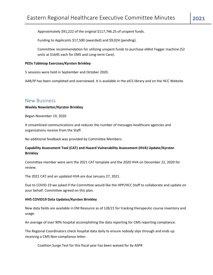Approximately \$91,222 of the original \$117,746.25 of unspent funds.

Funding to Applicants \$17,500 (awarded) and \$9,024 (pending).

Committee recommendation for utilizing unspent funds to purchase eMist Fogger machine (52 units at \$1645 each for EMS and Long-term Care).

#### **PEDs Tabletop Exercises/Kyrsten Brinkley**

5 sessions were held in September and October 2020.

AAR/IP has been completed and overviewed. It is available in the eICS library and on the HCC Website.

## New Business

#### **Weekly Newsletter/Kyrsten Brinkley**

Began November 19, 2020

It streamlined communications and reduces the number of messages healthcare agencies and organizations receive from the Staff.

No additional feedback was provided by Committee Members.

## **Capability Assessment Tool (CAT) and Hazard Vulnerability Assessment (HVA) Update/Kyrsten Brinkley**

Committee member were sent the 2021 CAT template and the 2020 HVA on December 22, 2020 for review.

The 2021 CAT and an updated HVA are due January 27, 2021.

Due to COVID-19 we asked if the Committee would like the HPP/HCC Staff to collaborate and update on your behalf. Committee agreed on this plan.

#### **HHS COVID19 Data Updates/Kyrsten Brinkley**

New data fields are available in EM Resource as of 1/8/21 for tracking therapeutic course inventory and usage.

An average of over 90% hospital accomplishing the data reporting for CMS reporting compliance.

The Regional Coordinators check hospital data daily to ensure nobody slips through and ends up receiving a CMS Non-compliance letter.

Coalition Surge Test for this fiscal year has been waived for by ASPR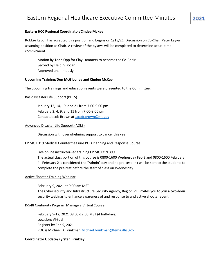## **Eastern HCC Regional Coordinator/Cindee McKee**

Robbie Kavon has accepted this position and begins on 1/18/21. Discussion on Co-Chair Peter Leyva assuming position as Chair. A review of the bylaws will be completed to determine actual time commitment.

Motion by Todd Opp for Clay Lammers to become the Co-Chair. Second by Heidi Visocan. Approved unanimously

## **Upcoming Training/Don McGiboney and Cindee McKee**

The upcoming trainings and education events were presented to the Committee.

## Basic Disaster Life Support (BDLS)

January 12, 14, 19, and 21 from 7:00-9:00 pm February 2, 4, 9, and 11 from 7:00-9:00 pm Contact Jacob Brown at [Jacob.brown@mt.gov](mailto:Jacob.brown@mt.gov)

## Advanced Disaster Life Support (ADLS)

Discussion with overwhelming support to cancel this year

## FP MGT 319 Medical Countermeasure POD Planning and Response Course

Live online instructor-led training FP MGT319 399

The actual class portion of this course is 0800-1600 Wednesday Feb 3 and 0800-1600 February 4. February 2 is considered the "Admin" day and he pre-test link will be sent to the students to complete the pre-test before the start of class on Wednesday.

## Active Shooter Training Webinar

February 9, 2021 at 9:00 am MST The Cybersecurity and Infrastructure Security Agency, Region VIII invites you to join a two-hour security webinar to enhance awareness of and response to and active shooter event.

## K-548 Continuity Program Managers Virtual Course

February 9-12, 2021 08:00-12:00 MST (4 half-days) Location: Virtual Register by Feb 5, 2021 POC is Michael D. Brinkman [Michael.brinkman@fema.dhs.gov](mailto:Michael.brinkman@fema.dhs.gov)

## **Coordinator Update/Kyrsten Brinkley**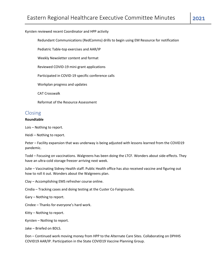## Kyrsten reviewed recent Coordinator and HPP activity

Redundant Communications (RedComms) drills to begin using EM Resource for notification

Pediatric Table-top exercises and AAR/IP

Weekly Newsletter content and format

Reviewed COVID-19 mini-grant applications

Participated in COVID-19 specific conference calls

Workplan progress and updates

CAT Crosswalk

Reformat of the Resource Assessment

# Closing

### **Roundtable**

Lois – Nothing to report.

Heidi – Nothing to report.

Peter – Facility expansion that was underway is being adjusted with lessons learned from the COVID19 pandemic.

Todd – Focusing on vaccinations. Walgreens has been doing the LTCF. Wonders about side-effects. They have an ultra-cold storage freezer arriving next week.

Julie – Vaccinating Sidney Health staff. Public Health office has also received vaccine and figuring out how to roll it out. Wonders about the Walgreens plan.

Clay – Accomplishing EMS refresher course online.

Cindia – Tracking cases and doing testing at the Custer Co Fairgrounds.

Gary – Nothing to report.

Cindee – Thanks for everyone's hard work.

Kitty – Nothing to report.

Kyrsten – Nothing to report.

Jake – Briefed on BDLS.

Don – Continued work moving money from HPP to the Alternate Care Sites. Collaborating on DPHHS COVID19 AAR/IP. Participation in the State COVID19 Vaccine Planning Group.